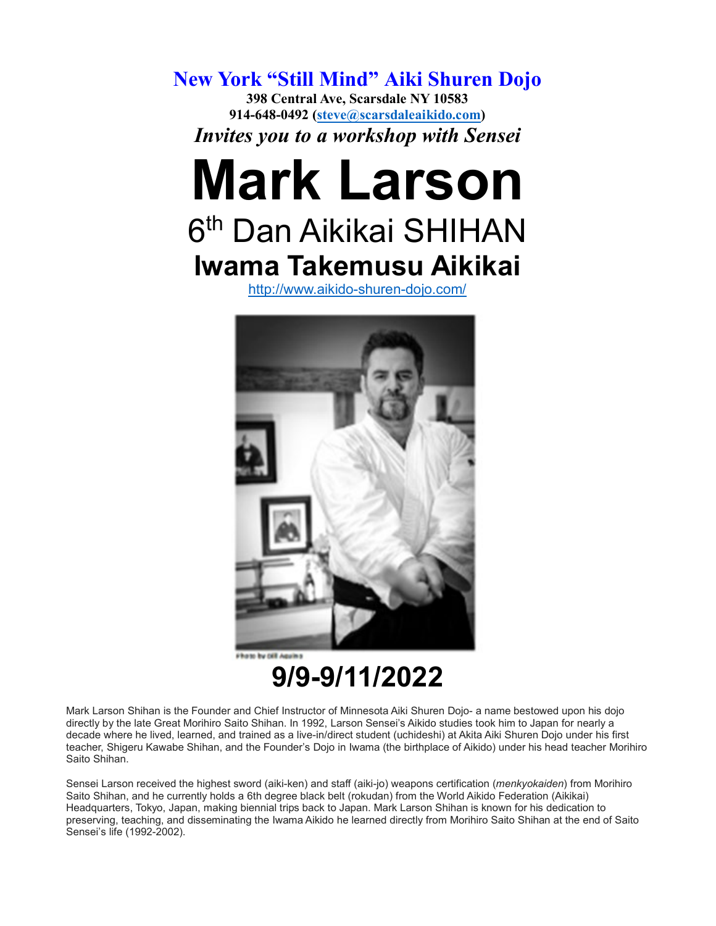**New York "Still Mind" Aiki Shuren Dojo 398 Central Ave, Scarsdale NY 10583 914-648-0492 [\(steve@scarsdaleaikido.com\)](mailto:steve@scarsdaleaikido.com)** *Invites you to a workshop with Sensei*

## **Mark Larson**

## 6<sup>th</sup> Dan Aikikai SHIHAN **Iwama Takemusu Aikikai**

<http://www.aikido-shuren-dojo.com/>



**9/9-9/11/2022**

Mark Larson Shihan is the Founder and Chief Instructor of Minnesota Aiki Shuren Dojo- a name bestowed upon his dojo directly by the late Great Morihiro Saito Shihan. In 1992, Larson Sensei's Aikido studies took him to Japan for nearly a decade where he lived, learned, and trained as a live-in/direct student (uchideshi) at Akita Aiki Shuren Dojo under his first teacher, Shigeru Kawabe Shihan, and the Founder's Dojo in Iwama (the birthplace of Aikido) under his head teacher Morihiro Saito Shihan.

Sensei Larson received the highest sword (aiki-ken) and staff (aiki-jo) weapons certification (*menkyokaiden*) from Morihiro Saito Shihan, and he currently holds a 6th degree black belt (rokudan) from the World Aikido Federation (Aikikai) Headquarters, Tokyo, Japan, making biennial trips back to Japan. Mark Larson Shihan is known for his dedication to preserving, teaching, and disseminating the Iwama Aikido he learned directly from Morihiro Saito Shihan at the end of Saito Sensei's life (1992-2002).